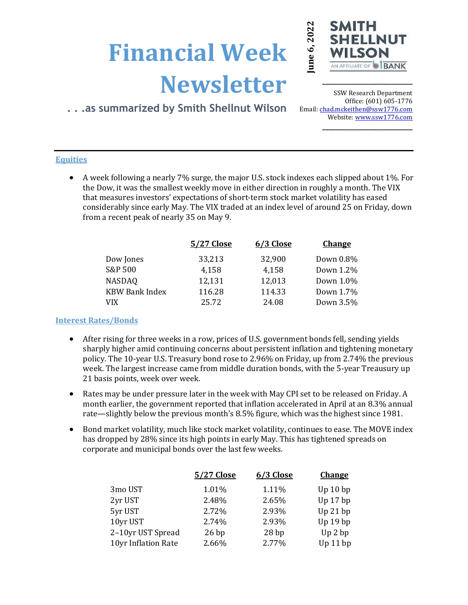# Newsletter



\_\_\_\_\_\_\_\_\_\_\_\_\_\_\_\_\_\_\_\_\_\_\_\_\_\_\_\_\_

# . . .as summarized by Smith Shellnut Wilson

SSW Research Department Office: (601) 605-1776 Email: chad.mckeithen@ssw1776.com Website: www.ssw1776.com \_\_\_\_\_\_\_\_\_\_\_\_\_\_\_\_\_\_\_\_\_\_\_\_\_\_\_\_\_

## **Equities**

 A week following a nearly 7% surge, the major U.S. stock indexes each slipped about 1%. For the Dow, it was the smallest weekly move in either direction in roughly a month. The VIX that measures investors' expectations of short-term stock market volatility has eased considerably since early May. The VIX traded at an index level of around 25 on Friday, down from a recent peak of nearly 35 on May 9.

|                       | 5/27 Close | 6/3 Close | <b>Change</b> |
|-----------------------|------------|-----------|---------------|
| Dow Jones             | 33,213     | 32,900    | Down 0.8%     |
| S&P 500               | 4,158      | 4,158     | Down 1.2%     |
| <b>NASDAQ</b>         | 12,131     | 12,013    | Down 1.0%     |
| <b>KBW Bank Index</b> | 116.28     | 114.33    | Down 1.7%     |
| <b>VIX</b>            | 25.72      | 24.08     | Down 3.5%     |

### Interest Rates/Bonds

- After rising for three weeks in a row, prices of U.S. government bonds fell, sending yields sharply higher amid continuing concerns about persistent inflation and tightening monetary policy. The 10-year U.S. Treasury bond rose to 2.96% on Friday, up from 2.74% the previous week. The largest increase came from middle duration bonds, with the 5-year Treausury up 21 basis points, week over week.
- Rates may be under pressure later in the week with May CPI set to be released on Friday. A month earlier, the government reported that inflation accelerated in April at an 8.3% annual rate—slightly below the previous month's 8.5% figure, which was the highest since 1981.
- Bond market volatility, much like stock market volatility, continues to ease. The MOVE index has dropped by 28% since its high points in early May. This has tightened spreads on corporate and municipal bonds over the last few weeks.

|                 | <b>Financial Week</b>                                                                                                                                                                                                                                                                                                                                                  |                                                   |                                                   | June 6, 2022<br>SM<br>SHI                                                 |
|-----------------|------------------------------------------------------------------------------------------------------------------------------------------------------------------------------------------------------------------------------------------------------------------------------------------------------------------------------------------------------------------------|---------------------------------------------------|---------------------------------------------------|---------------------------------------------------------------------------|
|                 | as summarized by Smith Shellnut Wilson                                                                                                                                                                                                                                                                                                                                 | <b>Newsletter</b>                                 |                                                   | SSW <sub>R</sub><br>Ofi<br>Email: chad.mckei<br>Website:                  |
| <b>Equities</b> | A week following a nearly 7% surge, the major U.S. stock indexes each slipp<br>the Dow, it was the smallest weekly move in either direction in roughly a mo<br>that measures investors' expectations of short-term stock market volatility<br>considerably since early May. The VIX traded at an index level of around 25<br>from a recent peak of nearly 35 on May 9. |                                                   |                                                   |                                                                           |
|                 |                                                                                                                                                                                                                                                                                                                                                                        | 5/27 Close                                        | 6/3 Close                                         | <b>Change</b>                                                             |
|                 | Dow Jones<br>S&P 500<br><b>NASDAQ</b><br><b>KBW Bank Index</b><br><b>VIX</b>                                                                                                                                                                                                                                                                                           | 33,213<br>4,158<br>12,131<br>116.28<br>25.72      | 32,900<br>4,158<br>12,013<br>114.33<br>24.08      | Down 0.89<br>Down 1.29<br>Down 1.09<br>Down 1.79<br>Down 3.5 <sup>0</sup> |
|                 | <b>Interest Rates/Bonds</b>                                                                                                                                                                                                                                                                                                                                            |                                                   |                                                   |                                                                           |
|                 | After rising for three weeks in a row, prices of U.S. government bonds fell, so<br>sharply higher amid continuing concerns about persistent inflation and tigh<br>policy. The 10-year U.S. Treasury bond rose to 2.96% on Friday, up from 2.7<br>week. The largest increase came from middle duration bonds, with the 5-ye<br>21 basis points, week over week.         |                                                   |                                                   |                                                                           |
|                 | Rates may be under pressure later in the week with May CPI set to be releas<br>month earlier, the government reported that inflation accelerated in April a<br>rate-slightly below the previous month's 8.5% figure, which was the highe                                                                                                                               |                                                   |                                                   |                                                                           |
|                 | Bond market volatility, much like stock market volatility, continues to ease.<br>has dropped by 28% since its high points in early May. This has tightened sp<br>corporate and municipal bonds over the last few weeks.                                                                                                                                                |                                                   |                                                   |                                                                           |
|                 |                                                                                                                                                                                                                                                                                                                                                                        | 5/27 Close                                        | 6/3 Close                                         | <b>Change</b>                                                             |
|                 | 3mo UST<br>2yr UST<br>5yr UST<br>10yr UST<br>2-10yr UST Spread<br>10yr Inflation Rate                                                                                                                                                                                                                                                                                  | 1.01%<br>2.48%<br>2.72%<br>2.74%<br>26bp<br>2.66% | 1.11%<br>2.65%<br>2.93%<br>2.93%<br>28bp<br>2.77% | Up $10$ bp<br>Up $17$ bp<br>Up 21 bp<br>Up $19$ bp<br>Up 2 bp<br>Up 11 bp |